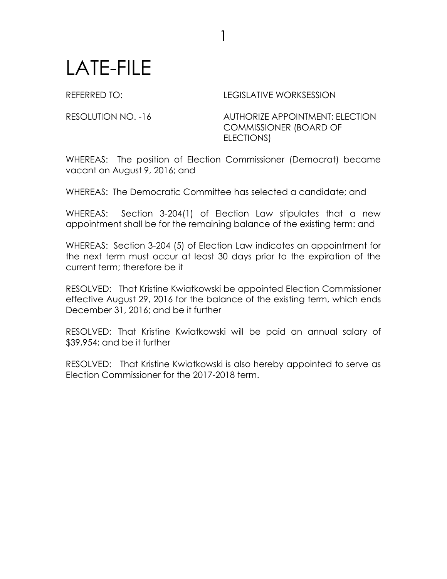## LATE-FILE

REFERRED TO: LEGISLATIVE WORKSESSION

RESOLUTION NO. -16 AUTHORIZE APPOINTMENT: ELECTION COMMISSIONER (BOARD OF ELECTIONS)

WHEREAS: The position of Election Commissioner (Democrat) became vacant on August 9, 2016; and

1

WHEREAS: The Democratic Committee has selected a candidate; and

WHEREAS: Section 3-204(1) of Election Law stipulates that a new appointment shall be for the remaining balance of the existing term: and

WHEREAS: Section 3-204 (5) of Election Law indicates an appointment for the next term must occur at least 30 days prior to the expiration of the current term; therefore be it

RESOLVED: That Kristine Kwiatkowski be appointed Election Commissioner effective August 29, 2016 for the balance of the existing term, which ends December 31, 2016; and be it further

RESOLVED: That Kristine Kwiatkowski will be paid an annual salary of \$39,954; and be it further

RESOLVED: That Kristine Kwiatkowski is also hereby appointed to serve as Election Commissioner for the 2017-2018 term.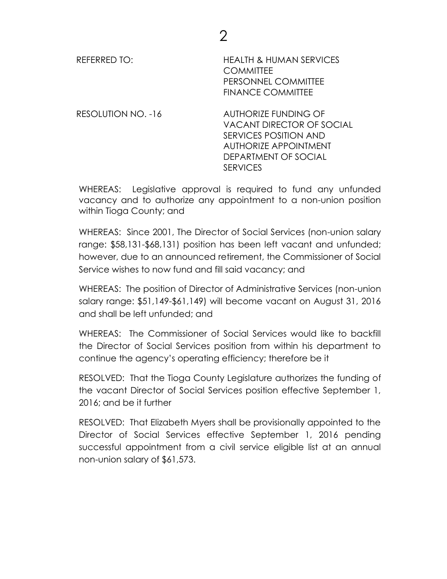| <b>REFERRED TO:</b> | <b>HEALTH &amp; HUMAN SERVICES</b><br><b>COMMITTEE</b><br>PERSONNEL COMMITTEE<br><b>FINANCE COMMITTEE</b> |
|---------------------|-----------------------------------------------------------------------------------------------------------|
| RESOLUTION NO. -16  | <b>AUTHORIZE FUNDING OF</b><br><b>VACANT DIRECTOR OF SOCIAL</b><br>SERVICES POSITION AND                  |

WHEREAS: Legislative approval is required to fund any unfunded vacancy and to authorize any appointment to a non-union position within Tioga County; and

SERVICES

AUTHORIZE APPOINTMENT DEPARTMENT OF SOCIAL

WHEREAS: Since 2001, The Director of Social Services (non-union salary range: \$58,131-\$68,131) position has been left vacant and unfunded; however, due to an announced retirement, the Commissioner of Social Service wishes to now fund and fill said vacancy; and

WHEREAS: The position of Director of Administrative Services (non-union salary range: \$51,149-\$61,149) will become vacant on August 31, 2016 and shall be left unfunded; and

WHEREAS: The Commissioner of Social Services would like to backfill the Director of Social Services position from within his department to continue the agency's operating efficiency; therefore be it

RESOLVED: That the Tioga County Legislature authorizes the funding of the vacant Director of Social Services position effective September 1, 2016; and be it further

RESOLVED: That Elizabeth Myers shall be provisionally appointed to the Director of Social Services effective September 1, 2016 pending successful appointment from a civil service eligible list at an annual non-union salary of \$61,573.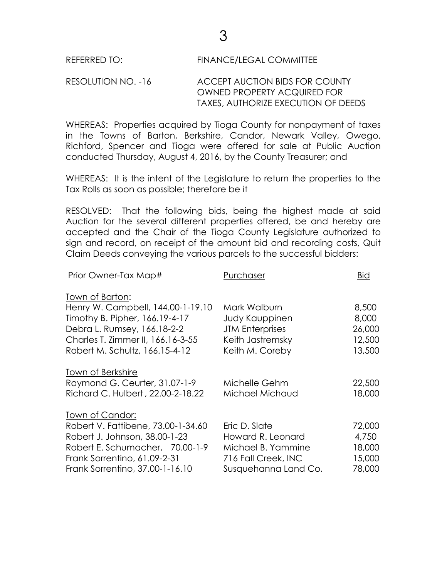## REFERRED TO: FINANCE/LEGAL COMMITTEE

## RESOLUTION NO. -16 ACCEPT AUCTION BIDS FOR COUNTY OWNED PROPERTY ACQUIRED FOR TAXES, AUTHORIZE EXECUTION OF DEEDS

WHEREAS: Properties acquired by Tioga County for nonpayment of taxes in the Towns of Barton, Berkshire, Candor, Newark Valley, Owego, Richford, Spencer and Tioga were offered for sale at Public Auction conducted Thursday, August 4, 2016, by the County Treasurer; and

WHEREAS: It is the intent of the Legislature to return the properties to the Tax Rolls as soon as possible; therefore be it

RESOLVED: That the following bids, being the highest made at said Auction for the several different properties offered, be and hereby are accepted and the Chair of the Tioga County Legislature authorized to sign and record, on receipt of the amount bid and recording costs, Quit Claim Deeds conveying the various parcels to the successful bidders:

| Prior Owner-Tax Map#               | Purchaser              | <b>Bid</b> |
|------------------------------------|------------------------|------------|
| Town of Barton:                    |                        |            |
| Henry W. Campbell, 144.00-1-19.10  | Mark Walburn           | 8,500      |
| Timothy B. Pipher, 166.19-4-17     | Judy Kauppinen         | 8,000      |
| Debra L. Rumsey, 166.18-2-2        | <b>JTM Enterprises</b> | 26,000     |
| Charles T. Zimmer II, 166.16-3-55  | Keith Jastremsky       | 12,500     |
| Robert M. Schultz, 166.15-4-12     | Keith M. Coreby        | 13,500     |
| Town of Berkshire                  |                        |            |
| Raymond G. Ceurter, 31.07-1-9      | Michelle Gehm          | 22,500     |
| Richard C. Hulbert, 22.00-2-18.22  | Michael Michaud        | 18,000     |
| Town of Candor:                    |                        |            |
| Robert V. Fattibene, 73.00-1-34.60 | Eric D. Slate          | 72,000     |
| Robert J. Johnson, 38.00-1-23      | Howard R. Leonard      | 4,750      |
| Robert E. Schumacher, 70.00-1-9    | Michael B. Yammine     | 18,000     |
| Frank Sorrentino, 61.09-2-31       | 716 Fall Creek, INC    | 15,000     |
| Frank Sorrentino, 37.00-1-16.10    | Susquehanna Land Co.   | 78,000     |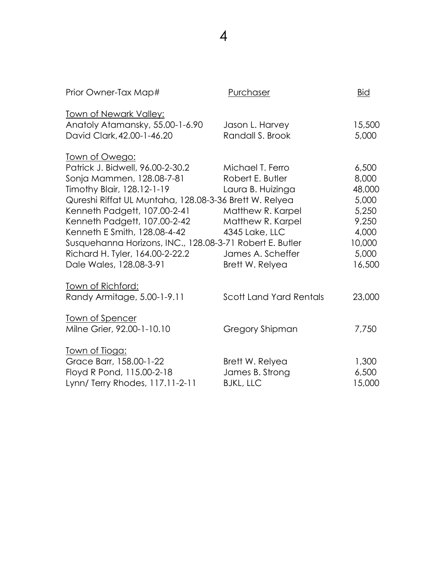| Prior Owner-Tax Map#                                                                                                                                                                                                                                                                                                                                                                                     | Purchaser                                                                                                                                                     | <b>Bid</b>                                                                                |
|----------------------------------------------------------------------------------------------------------------------------------------------------------------------------------------------------------------------------------------------------------------------------------------------------------------------------------------------------------------------------------------------------------|---------------------------------------------------------------------------------------------------------------------------------------------------------------|-------------------------------------------------------------------------------------------|
| <u>Town of Newark Valley:</u><br>Anatoly Atamansky, 55.00-1-6.90<br>David Clark, 42.00-1-46.20                                                                                                                                                                                                                                                                                                           | Jason L. Harvey<br>Randall S. Brook                                                                                                                           | 15,500<br>5,000                                                                           |
| <u>Town of Owego:</u><br>Patrick J. Bidwell, 96.00-2-30.2<br>Sonja Mammen, 128.08-7-81<br>Timothy Blair, 128.12-1-19<br>Qureshi Riffat UL Muntaha, 128.08-3-36 Brett W. Relyea<br>Kenneth Padgett, 107.00-2-41<br>Kenneth Padgett, 107.00-2-42<br>Kenneth E Smith, 128.08-4-42<br>Susquehanna Horizons, INC., 128.08-3-71 Robert E. Butler<br>Richard H. Tyler, 164.00-2-22.2<br>Dale Wales, 128.08-3-91 | Michael T. Ferro<br>Robert E. Butler<br>Laura B. Huizinga<br>Matthew R. Karpel<br>Matthew R. Karpel<br>4345 Lake, LLC<br>James A. Scheffer<br>Brett W. Relyea | 6,500<br>8,000<br>48,000<br>5,000<br>5,250<br>9,250<br>4,000<br>10,000<br>5,000<br>16,500 |
| <u>Town of Richford:</u><br>Randy Armitage, 5.00-1-9.11                                                                                                                                                                                                                                                                                                                                                  | <b>Scott Land Yard Rentals</b>                                                                                                                                | 23,000                                                                                    |
| Town of Spencer<br>Milne Grier, 92.00-1-10.10                                                                                                                                                                                                                                                                                                                                                            | Gregory Shipman                                                                                                                                               | 7,750                                                                                     |
| <u>Town of Tioga:</u><br>Grace Barr, 158.00-1-22<br>Floyd R Pond, 115.00-2-18<br>Lynn/ Terry Rhodes, 117.11-2-11                                                                                                                                                                                                                                                                                         | Brett W. Relyea<br>James B. Strong<br><b>BJKL, LLC</b>                                                                                                        | 1,300<br>6,500<br>15,000                                                                  |